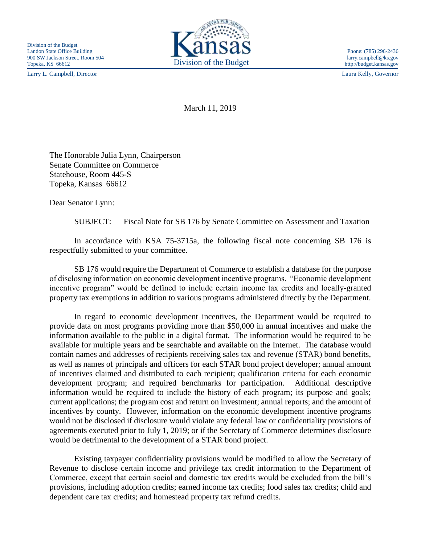Larry L. Campbell, Director Laura Kelly, Governor



March 11, 2019

The Honorable Julia Lynn, Chairperson Senate Committee on Commerce Statehouse, Room 445-S Topeka, Kansas 66612

Dear Senator Lynn:

SUBJECT: Fiscal Note for SB 176 by Senate Committee on Assessment and Taxation

In accordance with KSA 75-3715a, the following fiscal note concerning SB 176 is respectfully submitted to your committee.

SB 176 would require the Department of Commerce to establish a database for the purpose of disclosing information on economic development incentive programs. "Economic development incentive program" would be defined to include certain income tax credits and locally-granted property tax exemptions in addition to various programs administered directly by the Department.

In regard to economic development incentives, the Department would be required to provide data on most programs providing more than \$50,000 in annual incentives and make the information available to the public in a digital format. The information would be required to be available for multiple years and be searchable and available on the Internet. The database would contain names and addresses of recipients receiving sales tax and revenue (STAR) bond benefits, as well as names of principals and officers for each STAR bond project developer; annual amount of incentives claimed and distributed to each recipient; qualification criteria for each economic development program; and required benchmarks for participation. Additional descriptive information would be required to include the history of each program; its purpose and goals; current applications; the program cost and return on investment; annual reports; and the amount of incentives by county. However, information on the economic development incentive programs would not be disclosed if disclosure would violate any federal law or confidentiality provisions of agreements executed prior to July 1, 2019; or if the Secretary of Commerce determines disclosure would be detrimental to the development of a STAR bond project.

Existing taxpayer confidentiality provisions would be modified to allow the Secretary of Revenue to disclose certain income and privilege tax credit information to the Department of Commerce, except that certain social and domestic tax credits would be excluded from the bill's provisions, including adoption credits; earned income tax credits; food sales tax credits; child and dependent care tax credits; and homestead property tax refund credits.